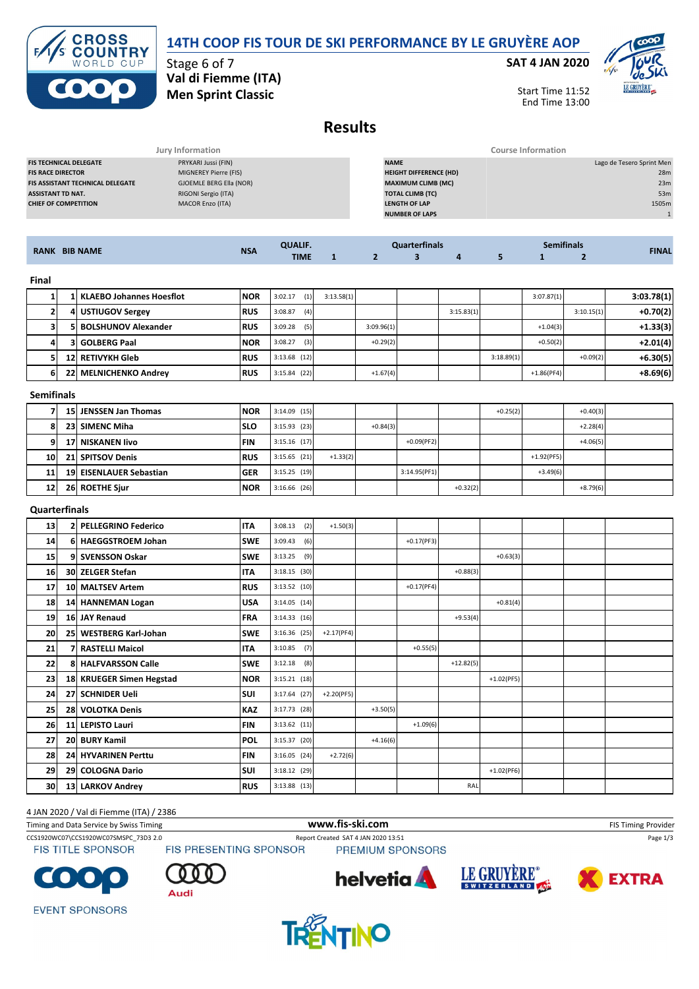# **14TH COOP FIS TOUR DE SKI PERFORMANCE BY LE GRUYÈRE AOP**

**ROSS COUNTRY** WORLD CUP

### Stage 6 of 7 **Val di Fiemme (ITA) Men Sprint Classic**

### **SAT 4 JAN 2020**



Start Time 11:52 End Time 13:00

# **Results**

|                                         | Jury Information        |                               | Course Information        |  |  |  |  |  |
|-----------------------------------------|-------------------------|-------------------------------|---------------------------|--|--|--|--|--|
| <b>FIS TECHNICAL DELEGATE</b>           | PRYKARI Jussi (FIN)     | <b>NAME</b>                   | Lago de Tesero Sprint Men |  |  |  |  |  |
| <b>FIS RACE DIRECTOR</b>                | MIGNEREY Pierre (FIS)   | <b>HEIGHT DIFFERENCE (HD)</b> | 28m                       |  |  |  |  |  |
| <b>FIS ASSISTANT TECHNICAL DELEGATE</b> | GJOEMLE BERG Ella (NOR) | <b>MAXIMUM CLIMB (MC)</b>     | 23m                       |  |  |  |  |  |
| <b>ASSISTANT TD NAT.</b>                | RIGONI Sergio (ITA)     | <b>TOTAL CLIMB (TC)</b>       | 53m                       |  |  |  |  |  |
| <b>CHIEF OF COMPETITION</b>             | <b>MACOR Enzo (ITA)</b> | <b>LENGTH OF LAP</b>          | 1505m                     |  |  |  |  |  |
|                                         |                         | <b>NUMBER OF LAPS</b>         |                           |  |  |  |  |  |
|                                         |                         |                               |                           |  |  |  |  |  |

| <b>BIB NAME</b><br><b>RANK</b> | <b>NSA</b> | <b>OUAUE</b><br><b>TIME</b> |  | чисть |  | nitinal | <b>FINAI</b> |
|--------------------------------|------------|-----------------------------|--|-------|--|---------|--------------|
|                                |            |                             |  |       |  |         |              |

|  | 1 KLAEBO Johannes Hoesflot | <b>NOR</b> | (1)<br>3:02.17 | 3:13.58(1) |            |            |            | 3:07.87(1)   |            | 3:03.78(1) |
|--|----------------------------|------------|----------------|------------|------------|------------|------------|--------------|------------|------------|
|  | 4 USTIUGOV Sergey          | <b>RUS</b> | (4)<br>3:08.87 |            |            | 3:15.83(1) |            |              | 3:10.15(1) | $+0.70(2)$ |
|  | 5 BOLSHUNOV Alexander      | <b>RUS</b> | 3:09.28<br>(5) |            | 3:09.96(1) |            |            | $+1.04(3)$   |            | $+1.33(3)$ |
|  | <b>3 GOLBERG Paal</b>      | <b>NOR</b> | (3)<br>3:08.27 |            | $+0.29(2)$ |            |            | $+0.50(2)$   |            | $+2.01(4)$ |
|  | 12 RETIVYKH Gleb           | <b>RUS</b> | $3:13.68$ (12) |            |            |            | 3:18.89(1) |              | $+0.09(2)$ | $+6.30(5)$ |
|  | 22 MELNICHENKO Andrey      | <b>RUS</b> | $3:15.84$ (22) |            | $+1.67(4)$ |            |            | $+1.86(PF4)$ |            | $+8.69(6)$ |

**Semifinals**

|                 | 15 JENSSEN Jan Thomas   | <b>INOR</b> | $3:14.09$ (15) |            |            |               |            | $+0.25(2)$ |              | $+0.40(3)$ |  |
|-----------------|-------------------------|-------------|----------------|------------|------------|---------------|------------|------------|--------------|------------|--|
| 81              | 23 SIMENC Miha          | <b>SLO</b>  | $3:15.93$ (23) |            | $+0.84(3)$ |               |            |            |              | $+2.28(4)$ |  |
| 9.              | 17 NISKANEN livo        | <b>FIN</b>  | $3:15.16$ (17) |            |            | $+0.09$ (PF2) |            |            |              | $+4.06(5)$ |  |
| 10 <sup>1</sup> | 21 SPITSOV Denis        | <b>RUS</b>  | $3:15.65$ (21) | $+1.33(2)$ |            |               |            |            | $+1.92(PF5)$ |            |  |
| 11              | 19 EISENLAUER Sebastian | <b>GER</b>  | 3:15.25(19)    |            |            | 3:14.95(PF1)  |            |            | $+3.49(6)$   |            |  |
| 12 <sub>1</sub> | 26 ROETHE Sjur          | <b>NOR</b>  | $3:16.66$ (26) |            |            |               | $+0.32(2)$ |            |              | $+8.79(6)$ |  |

### **Quarterfinals**

| 13 |    | <b>PELLEGRINO Federico</b> | <b>ITA</b> | $3:08.13$ (2)  | $+1.50(3)$   |            |              |             |              |  |  |
|----|----|----------------------------|------------|----------------|--------------|------------|--------------|-------------|--------------|--|--|
| 14 | 61 | <b>HAEGGSTROEM Johan</b>   | <b>SWE</b> | 3:09.43<br>(6) |              |            | $+0.17(PF3)$ |             |              |  |  |
| 15 |    | 9 SVENSSON Oskar           | <b>SWE</b> | $3:13.25$ (9)  |              |            |              |             | $+0.63(3)$   |  |  |
| 16 |    | 30 ZELGER Stefan           | <b>ITA</b> | $3:18.15$ (30) |              |            |              | $+0.88(3)$  |              |  |  |
| 17 |    | 10 MALTSEV Artem           | <b>RUS</b> | $3:13.52$ (10) |              |            | $+0.17(PF4)$ |             |              |  |  |
| 18 |    | 14 HANNEMAN Logan          | <b>USA</b> | $3:14.05$ (14) |              |            |              |             | $+0.81(4)$   |  |  |
| 19 |    | 16 JAY Renaud              | <b>FRA</b> | 3:14.33(16)    |              |            |              | $+9.53(4)$  |              |  |  |
| 20 |    | 25 WESTBERG Karl-Johan     | <b>SWE</b> | $3:16.36$ (25) | $+2.17(PF4)$ |            |              |             |              |  |  |
| 21 |    | 7  RASTELLI Maicol         | <b>ITA</b> | $3:10.85$ (7)  |              |            | $+0.55(5)$   |             |              |  |  |
| 22 |    | 8 HALFVARSSON Calle        | <b>SWE</b> | $3:12.18$ (8)  |              |            |              | $+12.82(5)$ |              |  |  |
| 23 |    | 18 KRUEGER Simen Hegstad   | <b>NOR</b> | $3:15.21$ (18) |              |            |              |             | $+1.02(PF5)$ |  |  |
| 24 |    | 27 SCHNIDER Ueli           | SUI        | $3:17.64$ (27) | $+2.20(PF5)$ |            |              |             |              |  |  |
| 25 |    | 28 VOLOTKA Denis           | <b>KAZ</b> | $3:17.73$ (28) |              | $+3.50(5)$ |              |             |              |  |  |
| 26 |    | 11 LEPISTO Lauri           | <b>FIN</b> | $3:13.62$ (11) |              |            | $+1.09(6)$   |             |              |  |  |
| 27 |    | 20 BURY Kamil              | <b>POL</b> | $3:15.37$ (20) |              | $+4.16(6)$ |              |             |              |  |  |
| 28 |    | 24 HYVARINEN Perttu        | <b>FIN</b> | 3:16.05(24)    | $+2.72(6)$   |            |              |             |              |  |  |
| 29 |    | 29 COLOGNA Dario           | SUI        | $3:18.12$ (29) |              |            |              |             | $+1.02(PF6)$ |  |  |
| 30 |    | 13 LARKOV Andrey           | <b>RUS</b> | $3:13.88$ (13) |              |            |              | RAL         |              |  |  |

### 4 JAN 2020 / Val di Fiemme (ITA) / 2386

Timing and Data Service by Swiss Timing **WWW.fis-Ski.com WWW.fis-Ski.com** FIS Timing Provider CCS1920WC07\CCS1920WC07SMSPC\_73D3 2.0 Report Created SAT 4 JAN 2020 13:51 Page 1/3<br>FIS TITLE SPONSOR FIS PRESENTING SPONSOR PREMIUM SPONSORS **FIS TITLE SPONSOR** PREMIUM SPONSORS













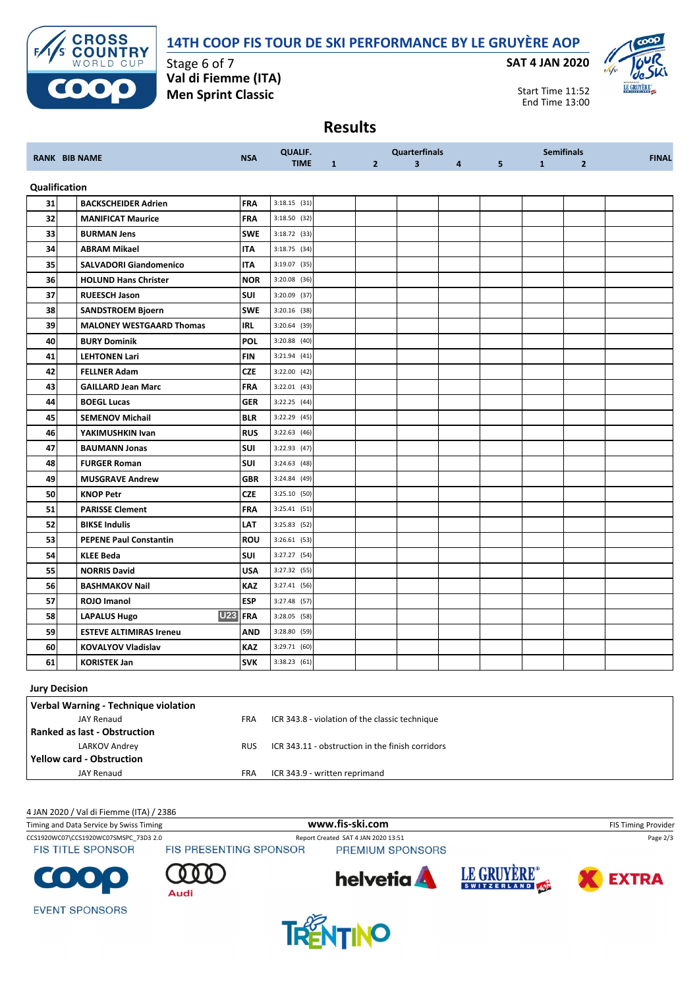## **14TH COOP FIS TOUR DE SKI PERFORMANCE BY LE GRUYÈRE AOP**



Stage 6 of 7 **Val di Fiemme (ITA) Men Sprint Classic**

**SAT 4 JAN 2020**



Start Time 11:52 End Time 13:00

# **Results**

| <b>RANK BIB NAME</b> |               | <b>NSA</b>                        | <b>QUALIF.</b> |                |              | <b>Quarterfinals</b> |                | <b>Semifinals</b> |   |              | <b>FINAL</b>   |  |
|----------------------|---------------|-----------------------------------|----------------|----------------|--------------|----------------------|----------------|-------------------|---|--------------|----------------|--|
|                      |               |                                   |                | <b>TIME</b>    | $\mathbf{1}$ | 2 <sup>1</sup>       | $\overline{3}$ | $4 \qquad \qquad$ | 5 | $\mathbf{1}$ | $\overline{2}$ |  |
|                      | Qualification |                                   |                |                |              |                      |                |                   |   |              |                |  |
| 31                   |               | <b>BACKSCHEIDER Adrien</b>        | <b>FRA</b>     | $3:18.15$ (31) |              |                      |                |                   |   |              |                |  |
| 32                   |               | <b>MANIFICAT Maurice</b>          | <b>FRA</b>     | 3:18.50 (32)   |              |                      |                |                   |   |              |                |  |
| 33                   |               | <b>BURMAN Jens</b>                | <b>SWE</b>     | $3:18.72$ (33) |              |                      |                |                   |   |              |                |  |
| 34                   |               | <b>ABRAM Mikael</b>               | <b>ITA</b>     | $3:18.75$ (34) |              |                      |                |                   |   |              |                |  |
| 35                   |               | <b>SALVADORI Giandomenico</b>     | <b>ITA</b>     | 3:19.07 (35)   |              |                      |                |                   |   |              |                |  |
| 36                   |               | <b>HOLUND Hans Christer</b>       | <b>NOR</b>     | 3:20.08 (36)   |              |                      |                |                   |   |              |                |  |
| 37                   |               | <b>RUEESCH Jason</b>              | SUI            | 3:20.09 (37)   |              |                      |                |                   |   |              |                |  |
| 38                   |               | <b>SANDSTROEM Bjoern</b>          | <b>SWE</b>     | $3:20.16$ (38) |              |                      |                |                   |   |              |                |  |
| 39                   |               | <b>MALONEY WESTGAARD Thomas</b>   | <b>IRL</b>     | 3:20.64 (39)   |              |                      |                |                   |   |              |                |  |
| 40                   |               | <b>BURY Dominik</b>               | <b>POL</b>     | 3:20.88 (40)   |              |                      |                |                   |   |              |                |  |
| 41                   |               | <b>LEHTONEN Lari</b>              | <b>FIN</b>     | 3:21.94(41)    |              |                      |                |                   |   |              |                |  |
| 42                   |               | <b>FELLNER Adam</b>               | <b>CZE</b>     | 3:22.00 (42)   |              |                      |                |                   |   |              |                |  |
| 43                   |               | <b>GAILLARD Jean Marc</b>         | <b>FRA</b>     | $3:22.01$ (43) |              |                      |                |                   |   |              |                |  |
| 44                   |               | <b>BOEGL Lucas</b>                | <b>GER</b>     | 3:22.25 (44)   |              |                      |                |                   |   |              |                |  |
| 45                   |               | <b>SEMENOV Michail</b>            | <b>BLR</b>     | $3:22.29$ (45) |              |                      |                |                   |   |              |                |  |
| 46                   |               | YAKIMUSHKIN Ivan                  | <b>RUS</b>     | $3:22.63$ (46) |              |                      |                |                   |   |              |                |  |
| 47                   |               | <b>BAUMANN Jonas</b>              | <b>SUI</b>     | 3:22.93 (47)   |              |                      |                |                   |   |              |                |  |
| 48                   |               | <b>FURGER Roman</b>               | SUI            | 3:24.63(48)    |              |                      |                |                   |   |              |                |  |
| 49                   |               | <b>MUSGRAVE Andrew</b>            | <b>GBR</b>     | 3:24.84 (49)   |              |                      |                |                   |   |              |                |  |
| 50                   |               | <b>KNOP Petr</b>                  | <b>CZE</b>     | $3:25.10$ (50) |              |                      |                |                   |   |              |                |  |
| 51                   |               | <b>PARISSE Clement</b>            | <b>FRA</b>     | $3:25.41$ (51) |              |                      |                |                   |   |              |                |  |
| 52                   |               | <b>BIKSE Indulis</b>              | LAT            | $3:25.83$ (52) |              |                      |                |                   |   |              |                |  |
| 53                   |               | <b>PEPENE Paul Constantin</b>     | <b>ROU</b>     | $3:26.61$ (53) |              |                      |                |                   |   |              |                |  |
| 54                   |               | <b>KLEE Beda</b>                  | <b>SUI</b>     | 3:27.27 (54)   |              |                      |                |                   |   |              |                |  |
| 55                   |               | <b>NORRIS David</b>               | USA            | 3:27.32 (55)   |              |                      |                |                   |   |              |                |  |
| 56                   |               | <b>BASHMAKOV Nail</b>             | <b>KAZ</b>     | 3:27.41 (56)   |              |                      |                |                   |   |              |                |  |
| 57                   |               | ROJO Imanol                       | <b>ESP</b>     | 3:27.48 (57)   |              |                      |                |                   |   |              |                |  |
| 58                   |               | <b>U23</b><br><b>LAPALUS Hugo</b> | <b>FRA</b>     | 3:28.05 (58)   |              |                      |                |                   |   |              |                |  |
| 59                   |               | <b>ESTEVE ALTIMIRAS Ireneu</b>    | AND            | 3:28.80 (59)   |              |                      |                |                   |   |              |                |  |
| 60                   |               | <b>KOVALYOV Vladislav</b>         | <b>KAZ</b>     | 3:29.71 (60)   |              |                      |                |                   |   |              |                |  |
| 61                   |               | <b>KORISTEK Jan</b>               | <b>SVK</b>     | 3:38.23(61)    |              |                      |                |                   |   |              |                |  |

### **Jury Decision**

| Verbal Warning - Technique violation |            |                                                  |
|--------------------------------------|------------|--------------------------------------------------|
| <b>JAY Renaud</b>                    | <b>FRA</b> | ICR 343.8 - violation of the classic technique   |
| Ranked as last - Obstruction         |            |                                                  |
| LARKOV Andrey                        | <b>RUS</b> | ICR 343.11 - obstruction in the finish corridors |
| <b>Yellow card - Obstruction</b>     |            |                                                  |
| <b>JAY Renaud</b>                    | <b>FRA</b> | ICR 343.9 - written reprimand                    |

#### 4 JAN 2020 / Val di Fiemme (ITA) / 2386

| Timing and Data Service by Swiss Timing |                               | www.fis-ski.com                     |             | <b>FIS Timing Provider</b> |
|-----------------------------------------|-------------------------------|-------------------------------------|-------------|----------------------------|
| CCS1920WC07\CCS1920WC07SMSPC 73D3 2.0   |                               | Report Created SAT 4 JAN 2020 13:51 |             | Page 2/3                   |
| <b>FIS TITLE SPONSOR</b>                | <b>FIS PRESENTING SPONSOR</b> | PREMIUM SPONSORS                    |             |                            |
| <b>COOO</b>                             | Audi                          | <b>helvetia</b>                     | LE GRUYERE® | <b>EXTRA</b>               |
| <b>EVENT SPONSORS</b>                   |                               |                                     |             |                            |